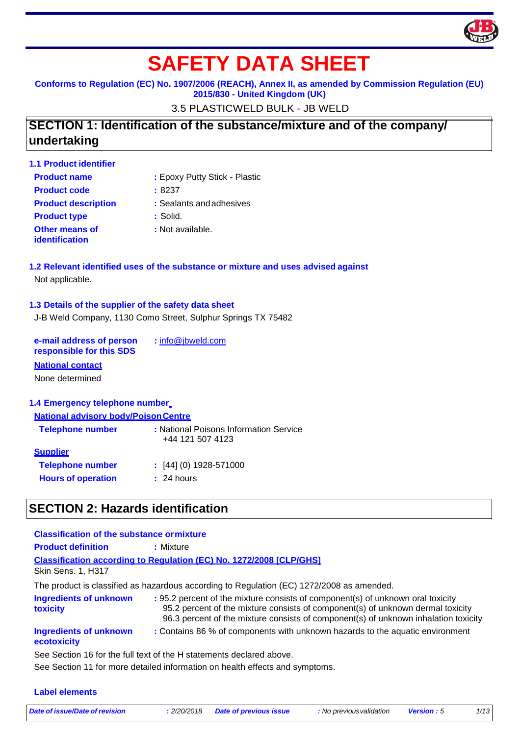

# **SAFETY DATA SHEET**

**Conforms to Regulation (EC) No. 1907/2006 (REACH), Annex II, as amended by Commission Regulation (EU) 2015/830 - United Kingdom (UK)**

3.5 PLASTICWELD BULK - JB WELD

# **SECTION 1: Identification of the substance/mixture and of the company/ undertaking**

| : Epoxy Putty Stick - Plastic |
|-------------------------------|
| :8237                         |
| : Sealants and adhesives      |
| : Solid.                      |
| : Not available.              |
|                               |

### **1.2 Relevant identified uses of the substance or mixture and uses advised against** Not applicable.

### **1.3 Details of the supplier of the safety data sheet**

J-B Weld Company, 1130 Como Street, Sulphur Springs TX 75482

**e-mail address of person responsible for this SDS :** [info@jbweld.com](mailto:info@jbweld.com)

### **National contact**

None determined

#### **1.4 Emergency telephone number**

#### **National advisory body/PoisonCentre**

| <b>Telephone number</b>   | : National Poisons Information Service<br>+44 121 507 4123 |
|---------------------------|------------------------------------------------------------|
| <b>Supplier</b>           |                                                            |
| <b>Telephone number</b>   | $\div$ [44] (0) 1928-571000                                |
| <b>Hours of operation</b> | : 24 hours                                                 |
|                           |                                                            |

### **SECTION 2: Hazards identification**

| <b>Classification of the substance or mixture</b> |                                                                                                                                                                                                                                                           |
|---------------------------------------------------|-----------------------------------------------------------------------------------------------------------------------------------------------------------------------------------------------------------------------------------------------------------|
| <b>Product definition</b>                         | : Mixture                                                                                                                                                                                                                                                 |
|                                                   | <b>Classification according to Regulation (EC) No. 1272/2008 [CLP/GHS]</b>                                                                                                                                                                                |
| <b>Skin Sens. 1, H317</b>                         |                                                                                                                                                                                                                                                           |
|                                                   | The product is classified as hazardous according to Regulation (EC) 1272/2008 as amended.                                                                                                                                                                 |
| <b>Ingredients of unknown</b><br>toxicity         | : 95.2 percent of the mixture consists of component(s) of unknown oral toxicity<br>95.2 percent of the mixture consists of component(s) of unknown dermal toxicity<br>96.3 percent of the mixture consists of component(s) of unknown inhalation toxicity |
| <b>Ingredients of unknown</b><br>ecotoxicity      | : Contains 86 % of components with unknown hazards to the aquatic environment                                                                                                                                                                             |

#### See Section 16 for the full text of the H statements declared above.

See Section 11 for more detailed information on health effects and symptoms.

#### **Label elements**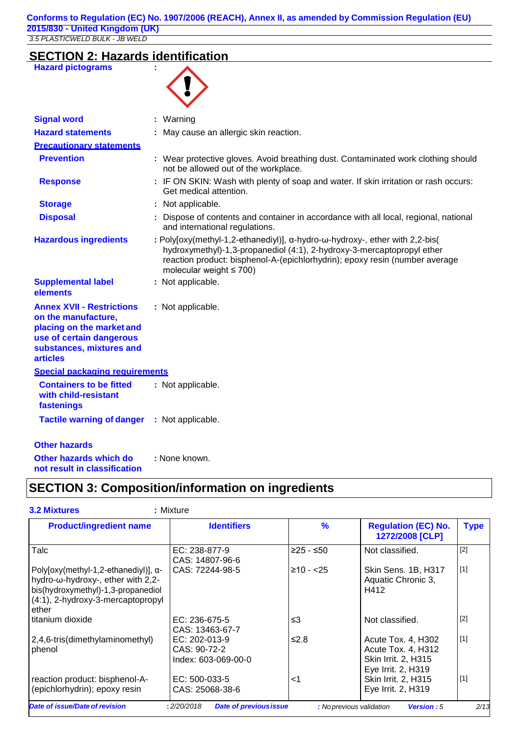# **SECTION 2: Hazards identification**

| <b>Hazard pictograms</b>                                                                                                                                        | ÷                                                                                                                                                                                                                                                                                      |
|-----------------------------------------------------------------------------------------------------------------------------------------------------------------|----------------------------------------------------------------------------------------------------------------------------------------------------------------------------------------------------------------------------------------------------------------------------------------|
| <b>Signal word</b>                                                                                                                                              | : Warning                                                                                                                                                                                                                                                                              |
| <b>Hazard statements</b>                                                                                                                                        | : May cause an allergic skin reaction.                                                                                                                                                                                                                                                 |
| <b>Precautionary statements</b>                                                                                                                                 |                                                                                                                                                                                                                                                                                        |
| <b>Prevention</b>                                                                                                                                               | : Wear protective gloves. Avoid breathing dust. Contaminated work clothing should<br>not be allowed out of the workplace.                                                                                                                                                              |
| <b>Response</b>                                                                                                                                                 | : IF ON SKIN: Wash with plenty of soap and water. If skin irritation or rash occurs:<br>Get medical attention.                                                                                                                                                                         |
| <b>Storage</b>                                                                                                                                                  | : Not applicable.                                                                                                                                                                                                                                                                      |
| <b>Disposal</b>                                                                                                                                                 | : Dispose of contents and container in accordance with all local, regional, national<br>and international regulations.                                                                                                                                                                 |
| <b>Hazardous ingredients</b>                                                                                                                                    | : Poly[oxy(methyl-1,2-ethanediyl)], $\alpha$ -hydro- $\omega$ -hydroxy-, ether with 2,2-bis(<br>hydroxymethyl)-1,3-propanediol (4:1), 2-hydroxy-3-mercaptopropyl ether<br>reaction product: bisphenol-A-(epichlorhydrin); epoxy resin (number average<br>molecular weight $\leq 700$ ) |
| <b>Supplemental label</b><br>elements                                                                                                                           | : Not applicable.                                                                                                                                                                                                                                                                      |
| <b>Annex XVII - Restrictions</b><br>on the manufacture,<br>placing on the market and<br>use of certain dangerous<br>substances, mixtures and<br><b>articles</b> | : Not applicable.                                                                                                                                                                                                                                                                      |
| Special packaging requirements                                                                                                                                  |                                                                                                                                                                                                                                                                                        |
| <b>Containers to be fitted</b><br>with child-resistant<br>fastenings                                                                                            | : Not applicable.                                                                                                                                                                                                                                                                      |
| <b>Tactile warning of danger</b>                                                                                                                                | : Not applicable.                                                                                                                                                                                                                                                                      |
| <b>Other hazards</b>                                                                                                                                            |                                                                                                                                                                                                                                                                                        |
| Other hazards which do<br>not result in classification                                                                                                          | : None known.                                                                                                                                                                                                                                                                          |

# **SECTION 3: Composition/information on ingredients**

| <b>3.2 Mixtures</b>                                                                                                                                                   | : Mixture                                            |               |                                                                                       |             |
|-----------------------------------------------------------------------------------------------------------------------------------------------------------------------|------------------------------------------------------|---------------|---------------------------------------------------------------------------------------|-------------|
| <b>Product/ingredient name</b>                                                                                                                                        | <b>Identifiers</b>                                   | $\frac{9}{6}$ | <b>Regulation (EC) No.</b><br>1272/2008 [CLP]                                         | <b>Type</b> |
| Talc                                                                                                                                                                  | EC: 238-877-9<br>CAS: 14807-96-6                     | $≥25 - ≤50$   | Not classified.                                                                       | $[2]$       |
| Poly[oxy(methyl-1,2-ethanediyl)], $\alpha$ -<br>hydro-ω-hydroxy-, ether with 2,2-<br>bis(hydroxymethyl)-1,3-propanediol<br>(4:1), 2-hydroxy-3-mercaptopropyl<br>ether | CAS: 72244-98-5                                      | $≥10 - < 25$  | Skin Sens. 1B, H317<br>Aquatic Chronic 3,<br>H412                                     | $[1]$       |
| titanium dioxide                                                                                                                                                      | EC: 236-675-5<br>CAS: 13463-67-7                     | $\leq$ 3      | Not classified.                                                                       | $[2]$       |
| 2,4,6-tris(dimethylaminomethyl)<br>phenol                                                                                                                             | EC: 202-013-9<br>CAS: 90-72-2<br>Index: 603-069-00-0 | $≤2.8$        | Acute Tox. 4, H302<br>Acute Tox. 4, H312<br>Skin Irrit. 2, H315<br>Eye Irrit. 2, H319 | $[1]$       |
| reaction product: bisphenol-A-<br>(epichlorhydrin); epoxy resin                                                                                                       | EC: 500-033-5<br>CAS: 25068-38-6                     | ا>            | Skin Irrit. 2, H315<br>Eye Irrit. 2, H319                                             | $[1]$       |
| Date of issue/Date of revision                                                                                                                                        | <b>Date of previous issue</b><br>:2/20/2018          |               | : No previous validation<br><b>Version: 5</b>                                         | 2/13        |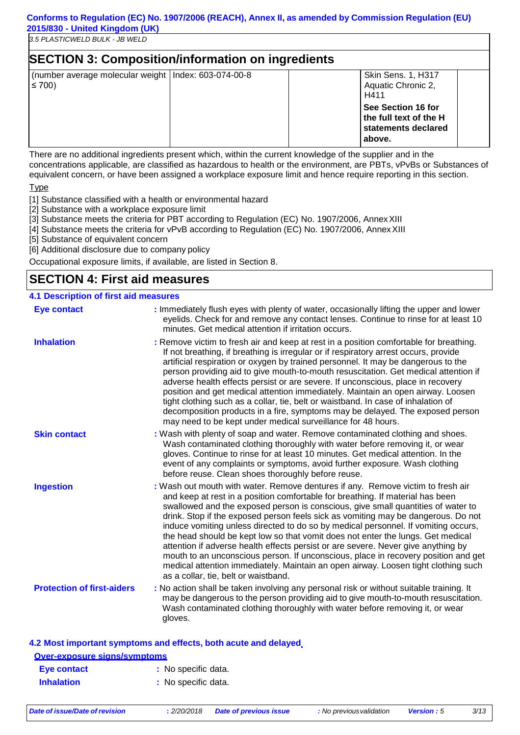| <b>SECTION 3: Composition/information on ingredients</b>             |  |                                                                               |  |  |
|----------------------------------------------------------------------|--|-------------------------------------------------------------------------------|--|--|
| (number average molecular weight   Index: 603-074-00-8<br>$\leq 700$ |  | Skin Sens. 1, H317<br>Aquatic Chronic 2,<br>H411                              |  |  |
|                                                                      |  | See Section 16 for<br>the full text of the H<br>statements declared<br>above. |  |  |

There are no additional ingredients present which, within the current knowledge of the supplier and in the concentrations applicable, are classified as hazardous to health or the environment, are PBTs, vPvBs or Substances of equivalent concern, or have been assigned a workplace exposure limit and hence require reporting in this section.

Type

[1] Substance classified with a health or environmental hazard

- [2] Substance with a workplace exposure limit
- [3] Substance meets the criteria for PBT according to Regulation (EC) No. 1907/2006, AnnexXIII
- [4] Substance meets the criteria for vPvB according to Regulation (EC) No. 1907/2006, AnnexXIII
- [5] Substance of equivalent concern

[6] Additional disclosure due to company policy

Occupational exposure limits, if available, are listed in Section 8.

### **SECTION 4: First aid measures**

#### **4.1 Description of first aid measures**

| <b>Eye contact</b>                  | : Immediately flush eyes with plenty of water, occasionally lifting the upper and lower<br>eyelids. Check for and remove any contact lenses. Continue to rinse for at least 10<br>minutes. Get medical attention if irritation occurs.                                                                                                                                                                                                                                                                                                                                                                                                                                                                                                                                                                                       |
|-------------------------------------|------------------------------------------------------------------------------------------------------------------------------------------------------------------------------------------------------------------------------------------------------------------------------------------------------------------------------------------------------------------------------------------------------------------------------------------------------------------------------------------------------------------------------------------------------------------------------------------------------------------------------------------------------------------------------------------------------------------------------------------------------------------------------------------------------------------------------|
| <b>Inhalation</b>                   | : Remove victim to fresh air and keep at rest in a position comfortable for breathing.<br>If not breathing, if breathing is irregular or if respiratory arrest occurs, provide<br>artificial respiration or oxygen by trained personnel. It may be dangerous to the<br>person providing aid to give mouth-to-mouth resuscitation. Get medical attention if<br>adverse health effects persist or are severe. If unconscious, place in recovery<br>position and get medical attention immediately. Maintain an open airway. Loosen<br>tight clothing such as a collar, tie, belt or waistband. In case of inhalation of<br>decomposition products in a fire, symptoms may be delayed. The exposed person<br>may need to be kept under medical surveillance for 48 hours.                                                       |
| <b>Skin contact</b>                 | : Wash with plenty of soap and water. Remove contaminated clothing and shoes.<br>Wash contaminated clothing thoroughly with water before removing it, or wear<br>gloves. Continue to rinse for at least 10 minutes. Get medical attention. In the<br>event of any complaints or symptoms, avoid further exposure. Wash clothing<br>before reuse. Clean shoes thoroughly before reuse.                                                                                                                                                                                                                                                                                                                                                                                                                                        |
| <b>Ingestion</b>                    | : Wash out mouth with water. Remove dentures if any. Remove victim to fresh air<br>and keep at rest in a position comfortable for breathing. If material has been<br>swallowed and the exposed person is conscious, give small quantities of water to<br>drink. Stop if the exposed person feels sick as vomiting may be dangerous. Do not<br>induce vomiting unless directed to do so by medical personnel. If vomiting occurs,<br>the head should be kept low so that vomit does not enter the lungs. Get medical<br>attention if adverse health effects persist or are severe. Never give anything by<br>mouth to an unconscious person. If unconscious, place in recovery position and get<br>medical attention immediately. Maintain an open airway. Loosen tight clothing such<br>as a collar, tie, belt or waistband. |
| <b>Protection of first-aiders</b>   | : No action shall be taken involving any personal risk or without suitable training. It<br>may be dangerous to the person providing aid to give mouth-to-mouth resuscitation.<br>Wash contaminated clothing thoroughly with water before removing it, or wear<br>gloves.                                                                                                                                                                                                                                                                                                                                                                                                                                                                                                                                                     |
|                                     | 4.2 Most important symptoms and effects, both acute and delayed                                                                                                                                                                                                                                                                                                                                                                                                                                                                                                                                                                                                                                                                                                                                                              |
| <b>Over-exposure signs/symptoms</b> |                                                                                                                                                                                                                                                                                                                                                                                                                                                                                                                                                                                                                                                                                                                                                                                                                              |

**Eye contact :** No specific data. **Inhalation : No specific data.**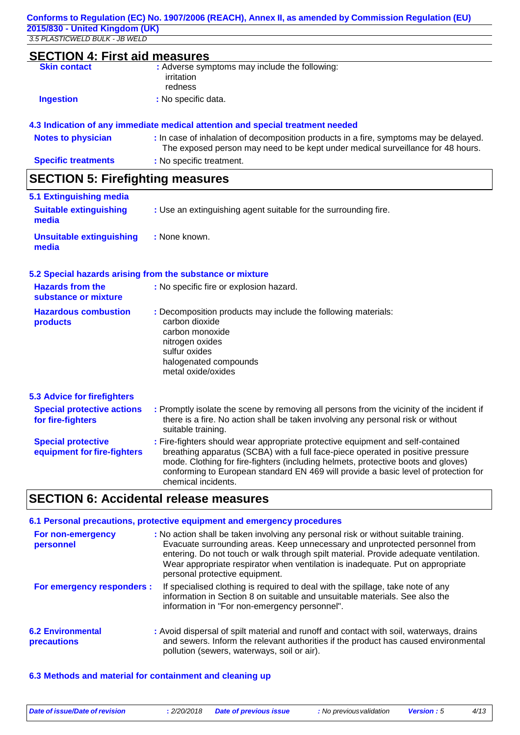| <b>SECTION 4: First aid measures</b><br><b>Skin contact</b> | : Adverse symptoms may include the following:                                  |
|-------------------------------------------------------------|--------------------------------------------------------------------------------|
|                                                             | irritation                                                                     |
|                                                             | redness                                                                        |
| <b>Ingestion</b>                                            | : No specific data.                                                            |
|                                                             | 4.3 Indication of any immediate medical attention and special treatment needed |

|  |  | 4.3 Indication of any immediate medical attention and special treatment needed |  |  |  |  |  |
|--|--|--------------------------------------------------------------------------------|--|--|--|--|--|
|  |  |                                                                                |  |  |  |  |  |

| <b>Notes to physician</b>  | : In case of inhalation of decomposition products in a fire, symptoms may be delayed.<br>The exposed person may need to be kept under medical surveillance for 48 hours. |
|----------------------------|--------------------------------------------------------------------------------------------------------------------------------------------------------------------------|
| <b>Specific treatments</b> | : No specific treatment.                                                                                                                                                 |

# **SECTION 5: Firefighting measures**

| 5.1 Extinguishing media                |                                                                 |
|----------------------------------------|-----------------------------------------------------------------|
| <b>Suitable extinguishing</b><br>media | : Use an extinguishing agent suitable for the surrounding fire. |
| Unsuitable extinguishing<br>media      | : None known.                                                   |

### **5.2 Special hazards arising from the substance or mixture**

| <b>Hazards from the</b><br>substance or mixture          | : No specific fire or explosion hazard.                                                                                                                                                                                                                 |
|----------------------------------------------------------|---------------------------------------------------------------------------------------------------------------------------------------------------------------------------------------------------------------------------------------------------------|
| <b>Hazardous combustion</b><br>products                  | : Decomposition products may include the following materials:<br>carbon dioxide<br>carbon monoxide<br>nitrogen oxides<br>sulfur oxides<br>halogenated compounds<br>metal oxide/oxides                                                                   |
| <b>5.3 Advice for firefighters</b>                       |                                                                                                                                                                                                                                                         |
| <b>Special protective actions</b><br>for fire-fighters   | : Promptly isolate the scene by removing all persons from the vicinity of the incident if<br>there is a fire. No action shall be taken involving any personal risk or without<br>suitable training.                                                     |
| <b>Special protective</b><br>equipment for fire-fighters | : Fire-fighters should wear appropriate protective equipment and self-contained<br>breathing apparatus (SCBA) with a full face-piece operated in positive pressure<br>mode. Clothing for fire-fighters (including helmets, protective boots and gloves) |

# **SECTION 6: Accidental release measures**

chemical incidents.

| 6.1 Personal precautions, protective equipment and emergency procedures |                                                                                                                                                                                                                                                                                                                                                                                 |  |  |  |
|-------------------------------------------------------------------------|---------------------------------------------------------------------------------------------------------------------------------------------------------------------------------------------------------------------------------------------------------------------------------------------------------------------------------------------------------------------------------|--|--|--|
| For non-emergency<br>personnel                                          | : No action shall be taken involving any personal risk or without suitable training.<br>Evacuate surrounding areas. Keep unnecessary and unprotected personnel from<br>entering. Do not touch or walk through spilt material. Provide adequate ventilation.<br>Wear appropriate respirator when ventilation is inadequate. Put on appropriate<br>personal protective equipment. |  |  |  |
| For emergency responders :                                              | If specialised clothing is required to deal with the spillage, take note of any<br>information in Section 8 on suitable and unsuitable materials. See also the<br>information in "For non-emergency personnel".                                                                                                                                                                 |  |  |  |
| <b>6.2 Environmental</b><br>precautions                                 | : Avoid dispersal of spilt material and runoff and contact with soil, waterways, drains<br>and sewers. Inform the relevant authorities if the product has caused environmental<br>pollution (sewers, waterways, soil or air).                                                                                                                                                   |  |  |  |

conforming to European standard EN 469 will provide a basic level of protection for

#### **6.3 Methods and material for containment and cleaning up**

| Date of issue/Date of revision | . 2/20/2018 Date of previous issue | : No previous validation | <b>Version</b> : 5 | 4/13 |
|--------------------------------|------------------------------------|--------------------------|--------------------|------|
|                                |                                    |                          |                    |      |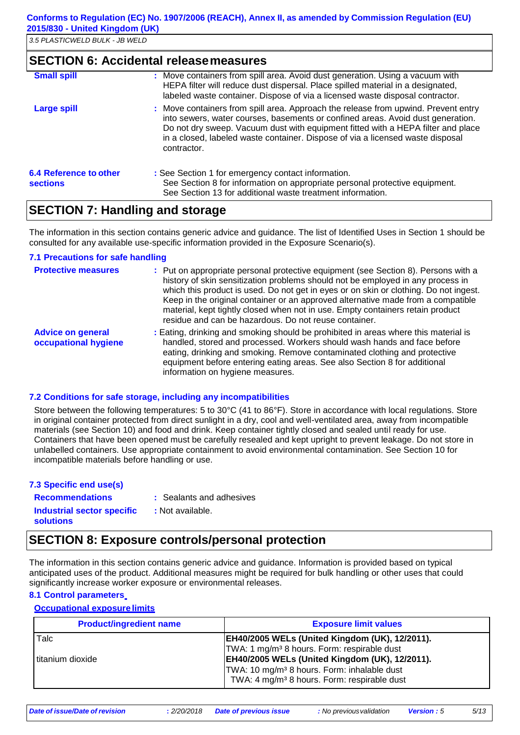### **SECTION 6: Accidental releasemeasures**

| <b>Small spill</b>                        | : Move containers from spill area. Avoid dust generation. Using a vacuum with<br>HEPA filter will reduce dust dispersal. Place spilled material in a designated,<br>labeled waste container. Dispose of via a licensed waste disposal contractor.                                                                                                          |
|-------------------------------------------|------------------------------------------------------------------------------------------------------------------------------------------------------------------------------------------------------------------------------------------------------------------------------------------------------------------------------------------------------------|
| <b>Large spill</b>                        | : Move containers from spill area. Approach the release from upwind. Prevent entry<br>into sewers, water courses, basements or confined areas. Avoid dust generation.<br>Do not dry sweep. Vacuum dust with equipment fitted with a HEPA filter and place<br>in a closed, labeled waste container. Dispose of via a licensed waste disposal<br>contractor. |
| 6.4 Reference to other<br><b>sections</b> | : See Section 1 for emergency contact information.<br>See Section 8 for information on appropriate personal protective equipment.<br>See Section 13 for additional waste treatment information.                                                                                                                                                            |

### **SECTION 7: Handling and storage**

The information in this section contains generic advice and guidance. The list of Identified Uses in Section 1 should be consulted for any available use-specific information provided in the Exposure Scenario(s).

#### **7.1 Precautions for safe handling**

| <b>Protective measures</b>                       | : Put on appropriate personal protective equipment (see Section 8). Persons with a<br>history of skin sensitization problems should not be employed in any process in<br>which this product is used. Do not get in eyes or on skin or clothing. Do not ingest.<br>Keep in the original container or an approved alternative made from a compatible<br>material, kept tightly closed when not in use. Empty containers retain product<br>residue and can be hazardous. Do not reuse container. |
|--------------------------------------------------|-----------------------------------------------------------------------------------------------------------------------------------------------------------------------------------------------------------------------------------------------------------------------------------------------------------------------------------------------------------------------------------------------------------------------------------------------------------------------------------------------|
| <b>Advice on general</b><br>occupational hygiene | : Eating, drinking and smoking should be prohibited in areas where this material is<br>handled, stored and processed. Workers should wash hands and face before<br>eating, drinking and smoking. Remove contaminated clothing and protective<br>equipment before entering eating areas. See also Section 8 for additional<br>information on hygiene measures.                                                                                                                                 |

#### **7.2 Conditions for safe storage, including any incompatibilities**

Store between the following temperatures: 5 to 30°C (41 to 86°F). Store in accordance with local regulations. Store in original container protected from direct sunlight in a dry, cool and well-ventilated area, away from incompatible materials (see Section 10) and food and drink. Keep container tightly closed and sealed until ready for use. Containers that have been opened must be carefully resealed and kept upright to prevent leakage. Do not store in unlabelled containers. Use appropriate containment to avoid environmental contamination. See Section 10 for incompatible materials before handling or use.

| 7.3 Specific end use(s)                        |                          |
|------------------------------------------------|--------------------------|
| <b>Recommendations</b>                         | : Sealants and adhesives |
| Industrial sector specific<br><b>solutions</b> | : Not available.         |

## **SECTION 8: Exposure controls/personal protection**

The information in this section contains generic advice and guidance. Information is provided based on typical anticipated uses of the product. Additional measures might be required for bulk handling or other uses that could significantly increase worker exposure or environmental releases.

### **8.1 Control parameters**

### **Occupational exposure limits**

| <b>Product/ingredient name</b> | <b>Exposure limit values</b>                            |
|--------------------------------|---------------------------------------------------------|
| Talc                           | <b>EH40/2005 WELs (United Kingdom (UK), 12/2011).</b>   |
|                                | TWA: 1 mg/m <sup>3</sup> 8 hours. Form: respirable dust |
| titanium dioxide               | <b>EH40/2005 WELs (United Kingdom (UK), 12/2011).</b>   |
|                                | TWA: 10 mg/m <sup>3</sup> 8 hours. Form: inhalable dust |
|                                | TWA: 4 mg/m <sup>3</sup> 8 hours. Form: respirable dust |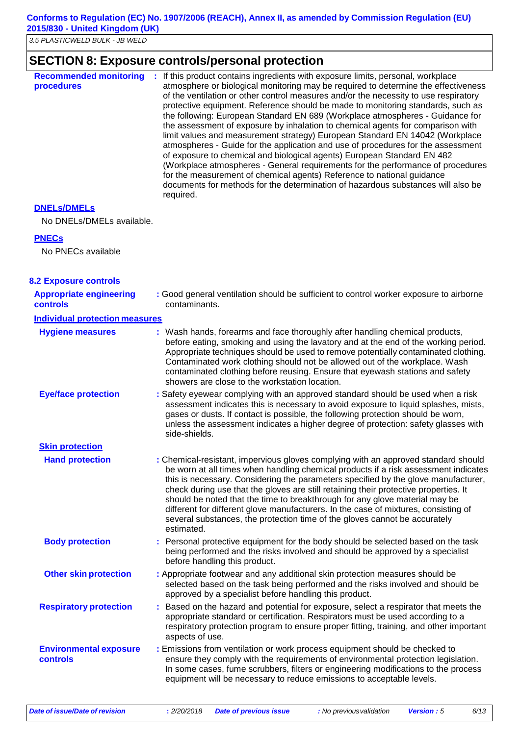### **Conforms to Regulation (EC) No. 1907/2006 (REACH), Annex II, as amended by Commission Regulation (EU) 2015/830 - United Kingdom (UK)**

*3.5 PLASTICWELD BULK - JB WELD*

## **SECTION 8: Exposure controls/personal protection**

| <b>Recommended monitoring</b><br>procedures | : If this product contains ingredients with exposure limits, personal, workplace<br>atmosphere or biological monitoring may be required to determine the effectiveness<br>of the ventilation or other control measures and/or the necessity to use respiratory<br>protective equipment. Reference should be made to monitoring standards, such as<br>the following: European Standard EN 689 (Workplace atmospheres - Guidance for<br>the assessment of exposure by inhalation to chemical agents for comparison with<br>limit values and measurement strategy) European Standard EN 14042 (Workplace<br>atmospheres - Guide for the application and use of procedures for the assessment<br>of exposure to chemical and biological agents) European Standard EN 482<br>(Workplace atmospheres - General requirements for the performance of procedures<br>for the measurement of chemical agents) Reference to national guidance<br>documents for methods for the determination of hazardous substances will also be<br>required. |
|---------------------------------------------|------------------------------------------------------------------------------------------------------------------------------------------------------------------------------------------------------------------------------------------------------------------------------------------------------------------------------------------------------------------------------------------------------------------------------------------------------------------------------------------------------------------------------------------------------------------------------------------------------------------------------------------------------------------------------------------------------------------------------------------------------------------------------------------------------------------------------------------------------------------------------------------------------------------------------------------------------------------------------------------------------------------------------------|
|---------------------------------------------|------------------------------------------------------------------------------------------------------------------------------------------------------------------------------------------------------------------------------------------------------------------------------------------------------------------------------------------------------------------------------------------------------------------------------------------------------------------------------------------------------------------------------------------------------------------------------------------------------------------------------------------------------------------------------------------------------------------------------------------------------------------------------------------------------------------------------------------------------------------------------------------------------------------------------------------------------------------------------------------------------------------------------------|

### **DNELs/DMELs**

No DNELs/DMELs available.

#### **PNECs**

No PNECs available

| <b>8.2 Exposure controls</b>                      |                                                                                                                                                                                                                                                                                                                                                                                                                                                                                                                                                                                                                           |
|---------------------------------------------------|---------------------------------------------------------------------------------------------------------------------------------------------------------------------------------------------------------------------------------------------------------------------------------------------------------------------------------------------------------------------------------------------------------------------------------------------------------------------------------------------------------------------------------------------------------------------------------------------------------------------------|
| <b>Appropriate engineering</b><br><b>controls</b> | : Good general ventilation should be sufficient to control worker exposure to airborne<br>contaminants.                                                                                                                                                                                                                                                                                                                                                                                                                                                                                                                   |
| <b>Individual protection measures</b>             |                                                                                                                                                                                                                                                                                                                                                                                                                                                                                                                                                                                                                           |
| <b>Hygiene measures</b>                           | : Wash hands, forearms and face thoroughly after handling chemical products,<br>before eating, smoking and using the lavatory and at the end of the working period.<br>Appropriate techniques should be used to remove potentially contaminated clothing.<br>Contaminated work clothing should not be allowed out of the workplace. Wash<br>contaminated clothing before reusing. Ensure that eyewash stations and safety<br>showers are close to the workstation location.                                                                                                                                               |
| <b>Eye/face protection</b>                        | : Safety eyewear complying with an approved standard should be used when a risk<br>assessment indicates this is necessary to avoid exposure to liquid splashes, mists,<br>gases or dusts. If contact is possible, the following protection should be worn,<br>unless the assessment indicates a higher degree of protection: safety glasses with<br>side-shields.                                                                                                                                                                                                                                                         |
| <b>Skin protection</b>                            |                                                                                                                                                                                                                                                                                                                                                                                                                                                                                                                                                                                                                           |
| <b>Hand protection</b>                            | : Chemical-resistant, impervious gloves complying with an approved standard should<br>be worn at all times when handling chemical products if a risk assessment indicates<br>this is necessary. Considering the parameters specified by the glove manufacturer,<br>check during use that the gloves are still retaining their protective properties. It<br>should be noted that the time to breakthrough for any glove material may be<br>different for different glove manufacturers. In the case of mixtures, consisting of<br>several substances, the protection time of the gloves cannot be accurately<br>estimated. |
| <b>Body protection</b>                            | : Personal protective equipment for the body should be selected based on the task<br>being performed and the risks involved and should be approved by a specialist<br>before handling this product.                                                                                                                                                                                                                                                                                                                                                                                                                       |
| <b>Other skin protection</b>                      | : Appropriate footwear and any additional skin protection measures should be<br>selected based on the task being performed and the risks involved and should be<br>approved by a specialist before handling this product.                                                                                                                                                                                                                                                                                                                                                                                                 |
| <b>Respiratory protection</b>                     | Based on the hazard and potential for exposure, select a respirator that meets the<br>appropriate standard or certification. Respirators must be used according to a<br>respiratory protection program to ensure proper fitting, training, and other important<br>aspects of use.                                                                                                                                                                                                                                                                                                                                         |
| <b>Environmental exposure</b><br>controls         | : Emissions from ventilation or work process equipment should be checked to<br>ensure they comply with the requirements of environmental protection legislation.<br>In some cases, fume scrubbers, filters or engineering modifications to the process<br>equipment will be necessary to reduce emissions to acceptable levels.                                                                                                                                                                                                                                                                                           |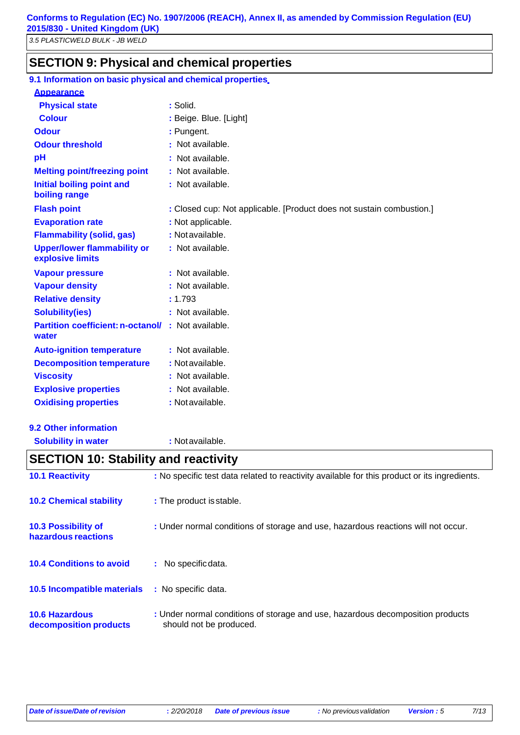### **SECTION 9: Physical and chemical properties**

| 9.1 Information on basic physical and chemical properties.         |                                                                      |
|--------------------------------------------------------------------|----------------------------------------------------------------------|
| <b>Appearance</b>                                                  |                                                                      |
| <b>Physical state</b>                                              | : Solid.                                                             |
| <b>Colour</b>                                                      | : Beige. Blue. [Light]                                               |
| <b>Odour</b>                                                       | : Pungent.                                                           |
| <b>Odour threshold</b>                                             | : Not available.                                                     |
| pH                                                                 | : Not available.                                                     |
| <b>Melting point/freezing point</b>                                | : Not available.                                                     |
| <b>Initial boiling point and</b><br>boiling range                  | : Not available.                                                     |
| <b>Flash point</b>                                                 | : Closed cup: Not applicable. [Product does not sustain combustion.] |
| <b>Evaporation rate</b>                                            | : Not applicable.                                                    |
| <b>Flammability (solid, gas)</b>                                   | : Not available.                                                     |
| <b>Upper/lower flammability or</b><br>explosive limits             | : Not available.                                                     |
| <b>Vapour pressure</b>                                             | : Not available.                                                     |
| <b>Vapour density</b>                                              | : Not available.                                                     |
| <b>Relative density</b>                                            | : 1.793                                                              |
| <b>Solubility(ies)</b>                                             | : Not available.                                                     |
| <b>Partition coefficient: n-octanol/ : Not available.</b><br>water |                                                                      |
| <b>Auto-ignition temperature</b>                                   | : Not available.                                                     |
| <b>Decomposition temperature</b>                                   | : Notavailable.                                                      |
| <b>Viscosity</b>                                                   | : Not available.                                                     |
| <b>Explosive properties</b>                                        | : Not available.                                                     |
| <b>Oxidising properties</b>                                        | : Not available.                                                     |

**Solubility in water :** Notavailable. **10.1 Reactivity :** No specific test data related to reactivity available for this product or its ingredients. **10.2 Chemical stability :** The product isstable. **10.3 Possibility of hazardous reactions :** Under normal conditions of storage and use, hazardous reactions will not occur. **10.4 Conditions to avoid :** No specificdata. **10.5 Incompatible materials :** No specific data. **10.6 Hazardous :** Under normal conditions of storage and use, hazardous decomposition products **SECTION 10: Stability and reactivity**

**decomposition products** should not be produced.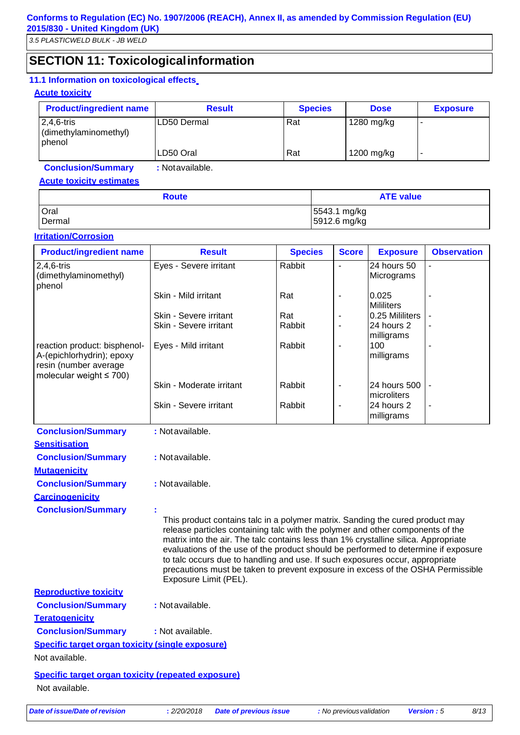# **SECTION 11: Toxicologicalinformation**

### **11.1 Information on toxicological effects**

#### **Acute toxicity**

| <b>Product/ingredient name</b>                    | <b>Result</b> | <b>Species</b> | <b>Dose</b> | <b>Exposure</b> |
|---------------------------------------------------|---------------|----------------|-------------|-----------------|
| $12,4,6$ -tris<br>(dimethylaminomethyl)<br>phenol | LD50 Dermal   | Rat            | 1280 mg/kg  |                 |
|                                                   | LD50 Oral     | Rat            | 1200 mg/kg  |                 |

**Conclusion/Summary :** Notavailable.

### **Acute toxicity estimates**

| <b>Route</b> | <b>ATE value</b> |  |  |
|--------------|------------------|--|--|
| Oral         | 5543.1 mg/kg     |  |  |
| Dermal       | 5912.6 mg/kg     |  |  |

#### **Irritation/Corrosion**

| <b>Product/ingredient name</b>                                                                                      | <b>Result</b>                                                                                                                                                                                                                                                                                                                                                                                                                                                                                                                            | <b>Species</b> | <b>Score</b>             | <b>Exposure</b>             | <b>Observation</b> |
|---------------------------------------------------------------------------------------------------------------------|------------------------------------------------------------------------------------------------------------------------------------------------------------------------------------------------------------------------------------------------------------------------------------------------------------------------------------------------------------------------------------------------------------------------------------------------------------------------------------------------------------------------------------------|----------------|--------------------------|-----------------------------|--------------------|
| $2,4,6$ -tris<br>(dimethylaminomethyl)<br>phenol                                                                    | Eyes - Severe irritant                                                                                                                                                                                                                                                                                                                                                                                                                                                                                                                   | Rabbit         | $\blacksquare$           | 24 hours 50<br>Micrograms   |                    |
|                                                                                                                     | Skin - Mild irritant                                                                                                                                                                                                                                                                                                                                                                                                                                                                                                                     | Rat            |                          | 0.025<br><b>Mililiters</b>  |                    |
|                                                                                                                     | Skin - Severe irritant                                                                                                                                                                                                                                                                                                                                                                                                                                                                                                                   | Rat            |                          | 0.25 Mililiters             |                    |
|                                                                                                                     | Skin - Severe irritant                                                                                                                                                                                                                                                                                                                                                                                                                                                                                                                   | Rabbit         | $\overline{\phantom{a}}$ | 24 hours 2<br>milligrams    |                    |
| reaction product: bisphenol-<br>A-(epichlorhydrin); epoxy<br>resin (number average<br>molecular weight $\leq 700$ ) | Eyes - Mild irritant                                                                                                                                                                                                                                                                                                                                                                                                                                                                                                                     | Rabbit         | $\overline{\phantom{a}}$ | 100<br>milligrams           |                    |
|                                                                                                                     | Skin - Moderate irritant                                                                                                                                                                                                                                                                                                                                                                                                                                                                                                                 | Rabbit         | $\overline{\phantom{a}}$ | 24 hours 500<br>microliters |                    |
|                                                                                                                     | Skin - Severe irritant                                                                                                                                                                                                                                                                                                                                                                                                                                                                                                                   | Rabbit         | ÷,                       | 24 hours 2<br>milligrams    |                    |
| <b>Conclusion/Summary</b>                                                                                           | : Not available.                                                                                                                                                                                                                                                                                                                                                                                                                                                                                                                         |                |                          |                             |                    |
| <b>Sensitisation</b>                                                                                                |                                                                                                                                                                                                                                                                                                                                                                                                                                                                                                                                          |                |                          |                             |                    |
| <b>Conclusion/Summary</b>                                                                                           | : Not available.                                                                                                                                                                                                                                                                                                                                                                                                                                                                                                                         |                |                          |                             |                    |
| <b>Mutagenicity</b>                                                                                                 |                                                                                                                                                                                                                                                                                                                                                                                                                                                                                                                                          |                |                          |                             |                    |
| <b>Conclusion/Summary</b>                                                                                           | : Not available.                                                                                                                                                                                                                                                                                                                                                                                                                                                                                                                         |                |                          |                             |                    |
| <b>Carcinogenicity</b>                                                                                              |                                                                                                                                                                                                                                                                                                                                                                                                                                                                                                                                          |                |                          |                             |                    |
| <b>Conclusion/Summary</b>                                                                                           | This product contains talc in a polymer matrix. Sanding the cured product may<br>release particles containing talc with the polymer and other components of the<br>matrix into the air. The talc contains less than 1% crystalline silica. Appropriate<br>evaluations of the use of the product should be performed to determine if exposure<br>to talc occurs due to handling and use. If such exposures occur, appropriate<br>precautions must be taken to prevent exposure in excess of the OSHA Permissible<br>Exposure Limit (PEL). |                |                          |                             |                    |
| <b>Reproductive toxicity</b>                                                                                        |                                                                                                                                                                                                                                                                                                                                                                                                                                                                                                                                          |                |                          |                             |                    |
| <b>Conclusion/Summary</b>                                                                                           | : Not available.                                                                                                                                                                                                                                                                                                                                                                                                                                                                                                                         |                |                          |                             |                    |
| <b>Teratogenicity</b>                                                                                               |                                                                                                                                                                                                                                                                                                                                                                                                                                                                                                                                          |                |                          |                             |                    |
| <b>Conclusion/Summary</b>                                                                                           | : Not available.                                                                                                                                                                                                                                                                                                                                                                                                                                                                                                                         |                |                          |                             |                    |

**Specific target organ toxicity (single exposure)**

Not available.

**Specific target organ toxicity (repeated exposure)** Not available.

*Date of issue/Date of revision* **:** *2/20/2018 Date of previous issue : No previousvalidation Version : 5 8/13*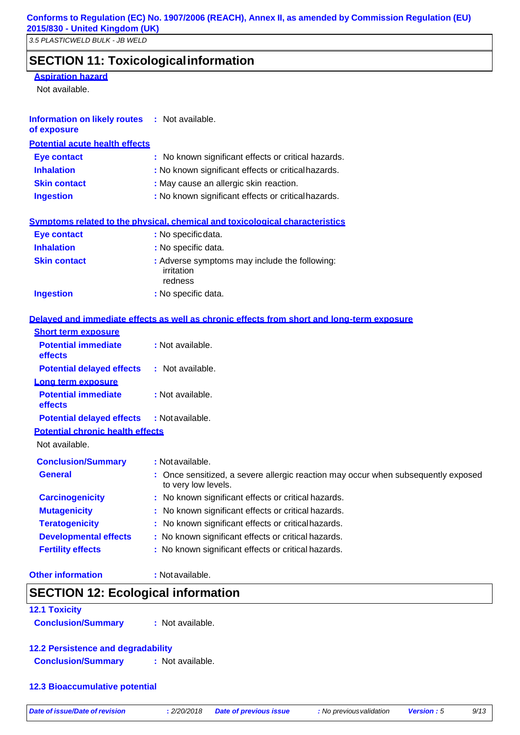# **SECTION 11: Toxicologicalinformation**

#### **Aspiration hazard**

Not available.

### **Information on likely routes :** Not available.

**of exposure**

| <b>Potential acute health effects</b> |                                                     |
|---------------------------------------|-----------------------------------------------------|
| Eye contact                           | : No known significant effects or critical hazards. |
| <b>Inhalation</b>                     | : No known significant effects or critical hazards. |
| <b>Skin contact</b>                   | : May cause an allergic skin reaction.              |
| <b>Ingestion</b>                      | : No known significant effects or critical hazards. |
|                                       |                                                     |

|                     | Symptoms related to the physical, chemical and toxicological characteristics |
|---------------------|------------------------------------------------------------------------------|
| <b>Eye contact</b>  | : No specific data.                                                          |
| <b>Inhalation</b>   | : No specific data.                                                          |
| <b>Skin contact</b> | : Adverse symptoms may include the following:<br>irritation<br>redness       |
| <b>Ingestion</b>    | : No specific data.                                                          |

# **Delayed and immediate effects as well as chronic effects from short and long-term exposure**

| <b>Short term exposure</b>              |                                                                                                          |
|-----------------------------------------|----------------------------------------------------------------------------------------------------------|
| <b>Potential immediate</b><br>effects   | : Not available.                                                                                         |
| <b>Potential delayed effects</b>        | : Not available.                                                                                         |
| Long term exposure                      |                                                                                                          |
| <b>Potential immediate</b><br>effects   | : Not available.                                                                                         |
| <b>Potential delayed effects</b>        | : Not available.                                                                                         |
| <b>Potential chronic health effects</b> |                                                                                                          |
| Not available.                          |                                                                                                          |
| <b>Conclusion/Summary</b>               | : Not available.                                                                                         |
| <b>General</b>                          | : Once sensitized, a severe allergic reaction may occur when subsequently exposed<br>to very low levels. |
| <b>Carcinogenicity</b>                  | : No known significant effects or critical hazards.                                                      |
| <b>Mutagenicity</b>                     | : No known significant effects or critical hazards.                                                      |
| <b>Teratogenicity</b>                   | : No known significant effects or critical hazards.                                                      |
| <b>Developmental effects</b>            | : No known significant effects or critical hazards.                                                      |
| <b>Fertility effects</b>                | : No known significant effects or critical hazards.                                                      |
|                                         |                                                                                                          |

#### **Other information : Notavailable.**

## **SECTION 12: Ecological information**

# **12.1 Toxicity**

**Conclusion/Summary :** Not available.

# **12.2 Persistence and degradability**

**Conclusion/Summary :** Not available.

**12.3 Bioaccumulative potential**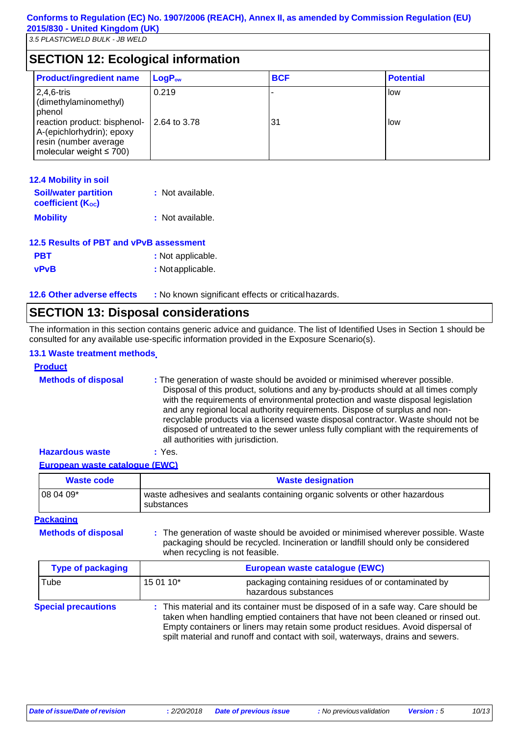# **SECTION 12: Ecological information**

| <b>Product/ingredient name</b>                                                                                      | LogP <sub>ow</sub> | <b>BCF</b> | <b>Potential</b> |
|---------------------------------------------------------------------------------------------------------------------|--------------------|------------|------------------|
| $2,4,6$ -tris<br>(dimethylaminomethyl)<br>phenol                                                                    | 0.219              |            | low              |
| reaction product: bisphenol-<br>A-(epichlorhydrin); epoxy<br>resin (number average<br>molecular weight $\leq 700$ ) | 2.64 to 3.78       | 31         | low              |

| <b>12.4 Mobility in soil</b>                     |                  |
|--------------------------------------------------|------------------|
| <b>Soil/water partition</b><br>coefficient (Koc) | : Not available. |
| <b>Mobility</b>                                  | : Not available. |

### **12.5 Results of PBT and vPvB assessment**

| <b>PBT</b>  | : Not applicable. |
|-------------|-------------------|
| <b>vPvB</b> | : Not applicable. |

**12.6 Other adverse effects :** No known significant effects or criticalhazards.

## **SECTION 13: Disposal considerations**

The information in this section contains generic advice and guidance. The list of Identified Uses in Section 1 should be consulted for any available use-specific information provided in the Exposure Scenario(s).

### **13.1 Waste treatment methods**

| <b>Product</b>             |                                                                                                                                                                                                                                                                                                                                                                                                                                                                                                                                                      |
|----------------------------|------------------------------------------------------------------------------------------------------------------------------------------------------------------------------------------------------------------------------------------------------------------------------------------------------------------------------------------------------------------------------------------------------------------------------------------------------------------------------------------------------------------------------------------------------|
| <b>Methods of disposal</b> | : The generation of waste should be avoided or minimised wherever possible.<br>Disposal of this product, solutions and any by-products should at all times comply<br>with the requirements of environmental protection and waste disposal legislation<br>and any regional local authority requirements. Dispose of surplus and non-<br>recyclable products via a licensed waste disposal contractor. Waste should not be<br>disposed of untreated to the sewer unless fully compliant with the requirements of<br>all authorities with jurisdiction. |
| <b>Hazardous waste</b>     | : Yes.                                                                                                                                                                                                                                                                                                                                                                                                                                                                                                                                               |

#### **European waste catalogue (EWC)**

| Waste code | <b>Waste designation</b>                                                                  |
|------------|-------------------------------------------------------------------------------------------|
| 08 04 09*  | waste adhesives and sealants containing organic solvents or other hazardous<br>substances |

#### **Packaging**

**Methods of disposal :**

The generation of waste should be avoided or minimised wherever possible. Waste packaging should be recycled. Incineration or landfill should only be considered when recycling is not feasible.

| <b>Type of packaging</b>   | European waste catalogue (EWC)                                                                                                                                                                                                                                                                                                               |                                                                             |  |
|----------------------------|----------------------------------------------------------------------------------------------------------------------------------------------------------------------------------------------------------------------------------------------------------------------------------------------------------------------------------------------|-----------------------------------------------------------------------------|--|
| Tube<br>15 01 10*          |                                                                                                                                                                                                                                                                                                                                              | packaging containing residues of or contaminated by<br>hazardous substances |  |
| <b>Special precautions</b> | : This material and its container must be disposed of in a safe way. Care should be<br>taken when handling emptied containers that have not been cleaned or rinsed out.<br>Empty containers or liners may retain some product residues. Avoid dispersal of<br>spilt material and runoff and contact with soil, waterways, drains and sewers. |                                                                             |  |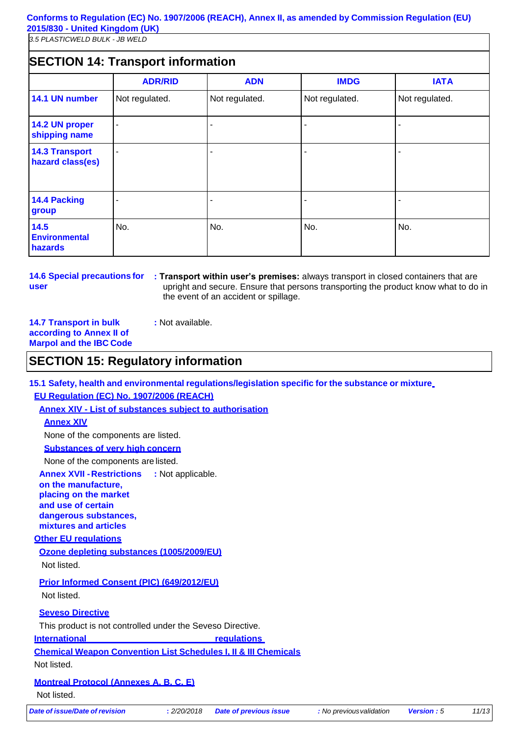#### **Conforms to Regulation (EC) No. 1907/2006 (REACH), Annex II, as amended by Commission Regulation (EU) 2015/830 - United Kingdom (UK)**

*3.5 PLASTICWELD BULK - JB WELD*

# **SECTION 14: Transport information**

|                                           | <b>ADR/RID</b> | <b>ADN</b>     | <b>IMDG</b>    | <b>IATA</b>    |
|-------------------------------------------|----------------|----------------|----------------|----------------|
| 14.1 UN number                            | Not regulated. | Not regulated. | Not regulated. | Not regulated. |
| 14.2 UN proper<br>shipping name           | ۰              |                |                |                |
| <b>14.3 Transport</b><br>hazard class(es) |                |                |                |                |
| <b>14.4 Packing</b><br>group              |                |                |                |                |
| 14.5<br><b>Environmental</b><br>hazards   | No.            | No.            | No.            | No.            |

**14.6 Special precautions for user**

**: Transport within user's premises:** always transport in closed containers that are upright and secure. Ensure that persons transporting the product know what to do in the event of an accident or spillage.

**14.7 Transport in bulk according to Annex II of Marpol and the IBC Code**

# **SECTION 15: Regulatory information**

**:** Not available.

**15.1 Safety, health and environmental regulations/legislation specific for the substance or mixture EU Regulation (EC) No. 1907/2006 (REACH)**

*Date of issue/Date of revision* **:** *2/20/2018 Date of previous issue : No previousvalidation Version : 5 11/13* **Annex XIV - List of substances subject to authorisation Annex XIV** None of the components are listed. **Substances of very high concern** None of the components are listed. **Annex XVII -Restrictions on the manufacture, placing on the market and use of certain dangerous substances, mixtures and articles Other EU regulations :** Not applicable. **Ozone depleting substances (1005/2009/EU)** Not listed. **Prior Informed Consent (PIC) (649/2012/EU)** Not listed. **Seveso Directive** This product is not controlled under the Seveso Directive. **International regulations Chemical Weapon Convention List Schedules I, II & III Chemicals** Not listed. **Montreal Protocol (Annexes A, B, C, E)** Not listed.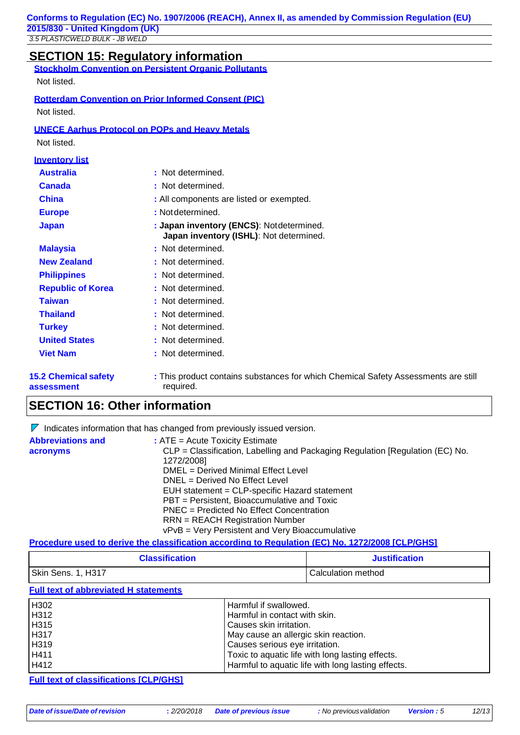| <b>SECTION 15: Requiatory informationally</b> |  |
|-----------------------------------------------|--|

|                                           | <b>SECTION 15: Regulatory information</b>                                                       |
|-------------------------------------------|-------------------------------------------------------------------------------------------------|
|                                           | <b>Stockholm Convention on Persistent Organic Pollutants</b>                                    |
| Not listed.                               |                                                                                                 |
|                                           | <b>Rotterdam Convention on Prior Informed Consent (PIC)</b>                                     |
| Not listed.                               |                                                                                                 |
|                                           | <b>UNECE Aarhus Protocol on POPs and Heavy Metals</b>                                           |
| Not listed.                               |                                                                                                 |
| <b>Inventory list</b>                     |                                                                                                 |
| <b>Australia</b>                          | : Not determined.                                                                               |
| Canada                                    | : Not determined.                                                                               |
| China                                     | : All components are listed or exempted.                                                        |
| <b>Europe</b>                             | : Not determined.                                                                               |
| <b>Japan</b>                              | : Japan inventory (ENCS): Notdetermined.<br>Japan inventory (ISHL): Not determined.             |
| <b>Malaysia</b>                           | : Not determined.                                                                               |
| <b>New Zealand</b>                        | : Not determined.                                                                               |
| <b>Philippines</b>                        | : Not determined.                                                                               |
| <b>Republic of Korea</b>                  | : Not determined.                                                                               |
| <b>Taiwan</b>                             | : Not determined.                                                                               |
| <b>Thailand</b>                           | : Not determined.                                                                               |
| <b>Turkey</b>                             | : Not determined.                                                                               |
| <b>United States</b>                      | : Not determined.                                                                               |
| <b>Viet Nam</b>                           | : Not determined.                                                                               |
| <b>15.2 Chemical safety</b><br>assessment | : This product contains substances for which Chemical Safety Assessments are still<br>required. |

# **SECTION 16: Other information**

|                          | $\triangleright$ Indicates information that has changed from previously issued version. |  |
|--------------------------|-----------------------------------------------------------------------------------------|--|
| <b>Abbreviations and</b> | $:$ ATE = Acute Toxicity Estimate                                                       |  |
| acronyms                 | CLP = Classification, Labelling and Packaging Regulation [Regulation (EC) No.           |  |
|                          | 1272/2008]                                                                              |  |
|                          | DMEL = Derived Minimal Effect Level                                                     |  |
|                          | DNEL = Derived No Effect Level                                                          |  |
|                          | EUH statement = CLP-specific Hazard statement                                           |  |
|                          | PBT = Persistent, Bioaccumulative and Toxic                                             |  |
|                          | PNEC = Predicted No Effect Concentration                                                |  |
|                          | <b>RRN</b> = REACH Registration Number                                                  |  |
|                          | vPvB = Very Persistent and Very Bioaccumulative                                         |  |

#### **Procedure used to derive the classification according to Regulation (EC) No. 1272/2008 [CLP/GHS]**

| <b>Classification</b> | <b>Justification</b> |
|-----------------------|----------------------|
| Skin Sens. 1, H317    | Calculation method   |

#### **Full text of abbreviated H statements**

| H302 | Harmful if swallowed.                              |
|------|----------------------------------------------------|
| H312 | Harmful in contact with skin.                      |
| H315 | Causes skin irritation.                            |
| H317 | May cause an allergic skin reaction.               |
| H319 | Causes serious eye irritation.                     |
| H411 | Toxic to aquatic life with long lasting effects.   |
| H412 | Harmful to aquatic life with long lasting effects. |

#### **Full text of classifications [CLP/GHS]**